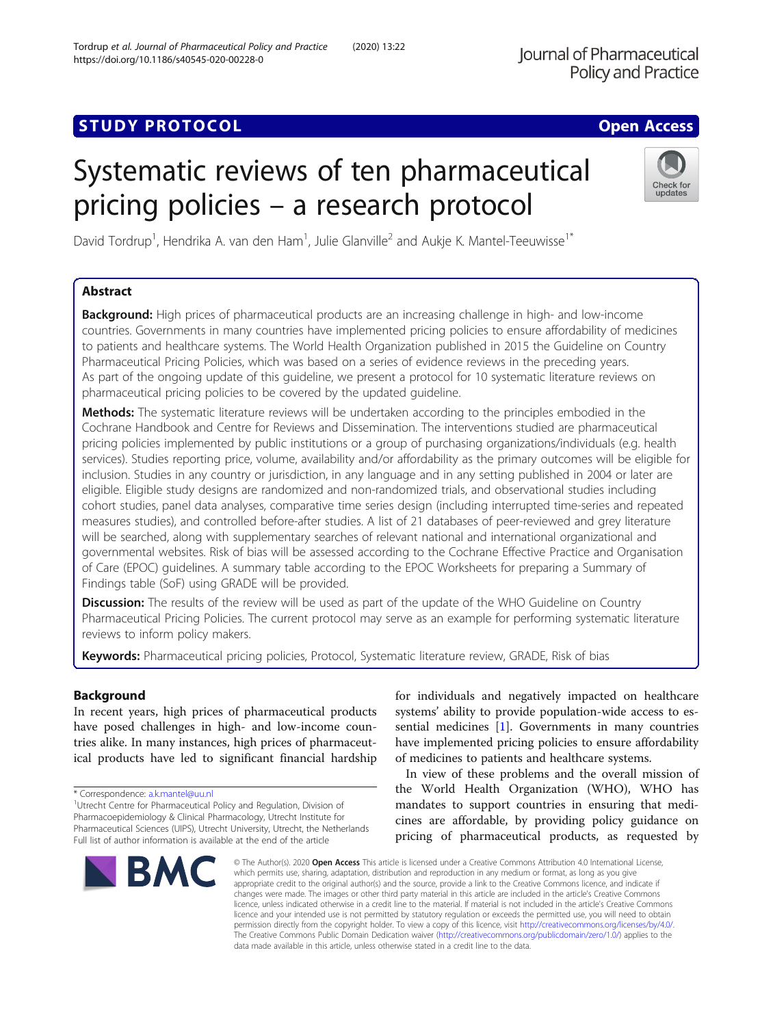# **STUDY PROTOCOL** And the set of the set of the set of the set of the set of the set of the set of the set of the set of the set of the set of the set of the set of the set of the set of the set of the set of the set of the

# Systematic reviews of ten pharmaceutical pricing policies – a research protocol

David Tordrup<sup>1</sup>, Hendrika A. van den Ham<sup>1</sup>, Julie Glanville<sup>2</sup> and Aukje K. Mantel-Teeuwisse<sup>1\*</sup>

# Abstract

**Background:** High prices of pharmaceutical products are an increasing challenge in high- and low-income countries. Governments in many countries have implemented pricing policies to ensure affordability of medicines to patients and healthcare systems. The World Health Organization published in 2015 the Guideline on Country Pharmaceutical Pricing Policies, which was based on a series of evidence reviews in the preceding years. As part of the ongoing update of this guideline, we present a protocol for 10 systematic literature reviews on pharmaceutical pricing policies to be covered by the updated guideline.

Methods: The systematic literature reviews will be undertaken according to the principles embodied in the Cochrane Handbook and Centre for Reviews and Dissemination. The interventions studied are pharmaceutical pricing policies implemented by public institutions or a group of purchasing organizations/individuals (e.g. health services). Studies reporting price, volume, availability and/or affordability as the primary outcomes will be eligible for inclusion. Studies in any country or jurisdiction, in any language and in any setting published in 2004 or later are eligible. Eligible study designs are randomized and non-randomized trials, and observational studies including cohort studies, panel data analyses, comparative time series design (including interrupted time-series and repeated measures studies), and controlled before-after studies. A list of 21 databases of peer-reviewed and grey literature will be searched, along with supplementary searches of relevant national and international organizational and governmental websites. Risk of bias will be assessed according to the Cochrane Effective Practice and Organisation of Care (EPOC) guidelines. A summary table according to the EPOC Worksheets for preparing a Summary of Findings table (SoF) using GRADE will be provided.

**Discussion:** The results of the review will be used as part of the update of the WHO Guideline on Country Pharmaceutical Pricing Policies. The current protocol may serve as an example for performing systematic literature reviews to inform policy makers.

Keywords: Pharmaceutical pricing policies, Protocol, Systematic literature review, GRADE, Risk of bias

# Background

In recent years, high prices of pharmaceutical products have posed challenges in high- and low-income countries alike. In many instances, high prices of pharmaceutical products have led to significant financial hardship

<sup>1</sup>Utrecht Centre for Pharmaceutical Policy and Regulation, Division of Pharmacoepidemiology & Clinical Pharmacology, Utrecht Institute for Pharmaceutical Sciences (UIPS), Utrecht University, Utrecht, the Netherlands Full list of author information is available at the end of the article

> © The Author(s). 2020 Open Access This article is licensed under a Creative Commons Attribution 4.0 International License, which permits use, sharing, adaptation, distribution and reproduction in any medium or format, as long as you give appropriate credit to the original author(s) and the source, provide a link to the Creative Commons licence, and indicate if changes were made. The images or other third party material in this article are included in the article's Creative Commons licence, unless indicated otherwise in a credit line to the material. If material is not included in the article's Creative Commons licence and your intended use is not permitted by statutory regulation or exceeds the permitted use, you will need to obtain permission directly from the copyright holder. To view a copy of this licence, visit [http://creativecommons.org/licenses/by/4.0/.](http://creativecommons.org/licenses/by/4.0/) The Creative Commons Public Domain Dedication waiver [\(http://creativecommons.org/publicdomain/zero/1.0/](http://creativecommons.org/publicdomain/zero/1.0/)) applies to the data made available in this article, unless otherwise stated in a credit line to the data.

for individuals and negatively impacted on healthcare systems' ability to provide population-wide access to essential medicines [[1\]](#page-6-0). Governments in many countries have implemented pricing policies to ensure affordability of medicines to patients and healthcare systems.

In view of these problems and the overall mission of the World Health Organization (WHO), WHO has mandates to support countries in ensuring that medicines are affordable, by providing policy guidance on pricing of pharmaceutical products, as requested by

Tordrup et al. Journal of Pharmaceutical Policy and Practice (2020) 13:22 https://doi.org/10.1186/s40545-020-00228-0

**BMC** 







<sup>\*</sup> Correspondence: [a.k.mantel@uu.nl](mailto:a.k.mantel@uu.nl) <sup>1</sup>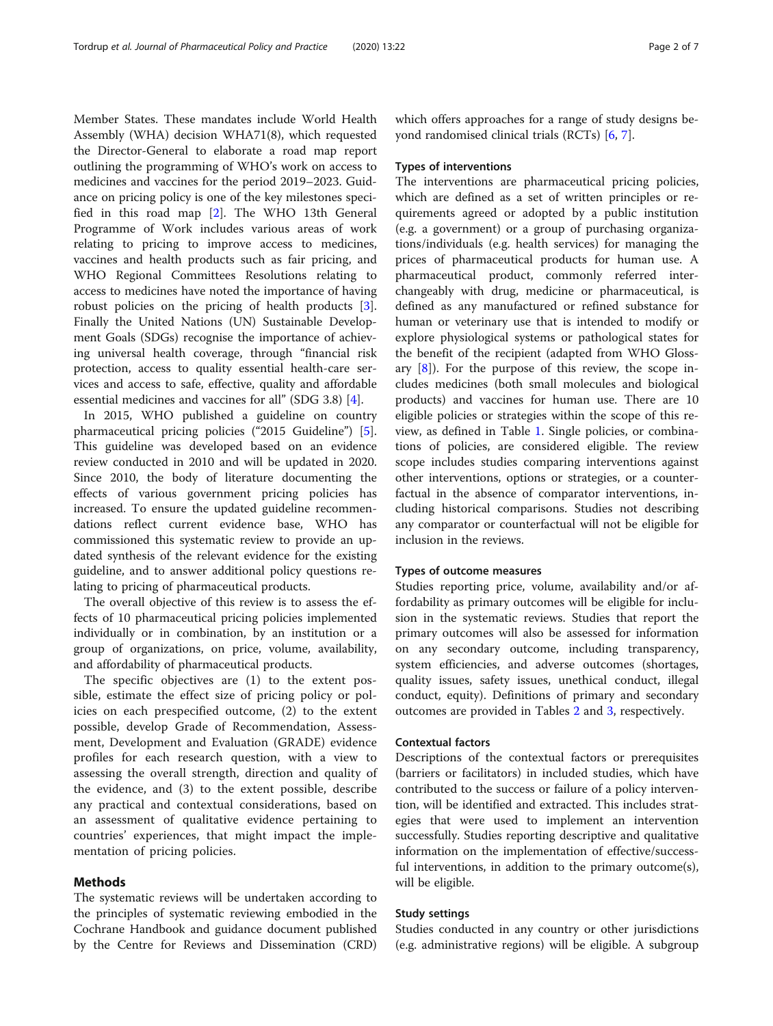Member States. These mandates include World Health Assembly (WHA) decision WHA71(8), which requested the Director-General to elaborate a road map report outlining the programming of WHO's work on access to medicines and vaccines for the period 2019–2023. Guidance on pricing policy is one of the key milestones specified in this road map [\[2](#page-6-0)]. The WHO 13th General Programme of Work includes various areas of work relating to pricing to improve access to medicines, vaccines and health products such as fair pricing, and WHO Regional Committees Resolutions relating to access to medicines have noted the importance of having robust policies on the pricing of health products [\[3](#page-6-0)]. Finally the United Nations (UN) Sustainable Development Goals (SDGs) recognise the importance of achieving universal health coverage, through "financial risk protection, access to quality essential health-care services and access to safe, effective, quality and affordable essential medicines and vaccines for all" (SDG 3.8) [\[4](#page-6-0)].

In 2015, WHO published a guideline on country pharmaceutical pricing policies ("2015 Guideline") [\[5](#page-6-0)]. This guideline was developed based on an evidence review conducted in 2010 and will be updated in 2020. Since 2010, the body of literature documenting the effects of various government pricing policies has increased. To ensure the updated guideline recommendations reflect current evidence base, WHO has commissioned this systematic review to provide an updated synthesis of the relevant evidence for the existing guideline, and to answer additional policy questions relating to pricing of pharmaceutical products.

The overall objective of this review is to assess the effects of 10 pharmaceutical pricing policies implemented individually or in combination, by an institution or a group of organizations, on price, volume, availability, and affordability of pharmaceutical products.

The specific objectives are (1) to the extent possible, estimate the effect size of pricing policy or policies on each prespecified outcome, (2) to the extent possible, develop Grade of Recommendation, Assessment, Development and Evaluation (GRADE) evidence profiles for each research question, with a view to assessing the overall strength, direction and quality of the evidence, and (3) to the extent possible, describe any practical and contextual considerations, based on an assessment of qualitative evidence pertaining to countries' experiences, that might impact the implementation of pricing policies.

# Methods

The systematic reviews will be undertaken according to the principles of systematic reviewing embodied in the Cochrane Handbook and guidance document published by the Centre for Reviews and Dissemination (CRD) which offers approaches for a range of study designs beyond randomised clinical trials (RCTs) [\[6,](#page-6-0) [7\]](#page-6-0).

#### Types of interventions

The interventions are pharmaceutical pricing policies, which are defined as a set of written principles or requirements agreed or adopted by a public institution (e.g. a government) or a group of purchasing organizations/individuals (e.g. health services) for managing the prices of pharmaceutical products for human use. A pharmaceutical product, commonly referred interchangeably with drug, medicine or pharmaceutical, is defined as any manufactured or refined substance for human or veterinary use that is intended to modify or explore physiological systems or pathological states for the benefit of the recipient (adapted from WHO Glossary  $[8]$ ). For the purpose of this review, the scope includes medicines (both small molecules and biological products) and vaccines for human use. There are 10 eligible policies or strategies within the scope of this review, as defined in Table [1](#page-2-0). Single policies, or combinations of policies, are considered eligible. The review scope includes studies comparing interventions against other interventions, options or strategies, or a counterfactual in the absence of comparator interventions, including historical comparisons. Studies not describing any comparator or counterfactual will not be eligible for inclusion in the reviews.

#### Types of outcome measures

Studies reporting price, volume, availability and/or affordability as primary outcomes will be eligible for inclusion in the systematic reviews. Studies that report the primary outcomes will also be assessed for information on any secondary outcome, including transparency, system efficiencies, and adverse outcomes (shortages, quality issues, safety issues, unethical conduct, illegal conduct, equity). Definitions of primary and secondary outcomes are provided in Tables [2](#page-3-0) and [3,](#page-4-0) respectively.

# Contextual factors

Descriptions of the contextual factors or prerequisites (barriers or facilitators) in included studies, which have contributed to the success or failure of a policy intervention, will be identified and extracted. This includes strategies that were used to implement an intervention successfully. Studies reporting descriptive and qualitative information on the implementation of effective/successful interventions, in addition to the primary outcome(s), will be eligible.

#### Study settings

Studies conducted in any country or other jurisdictions (e.g. administrative regions) will be eligible. A subgroup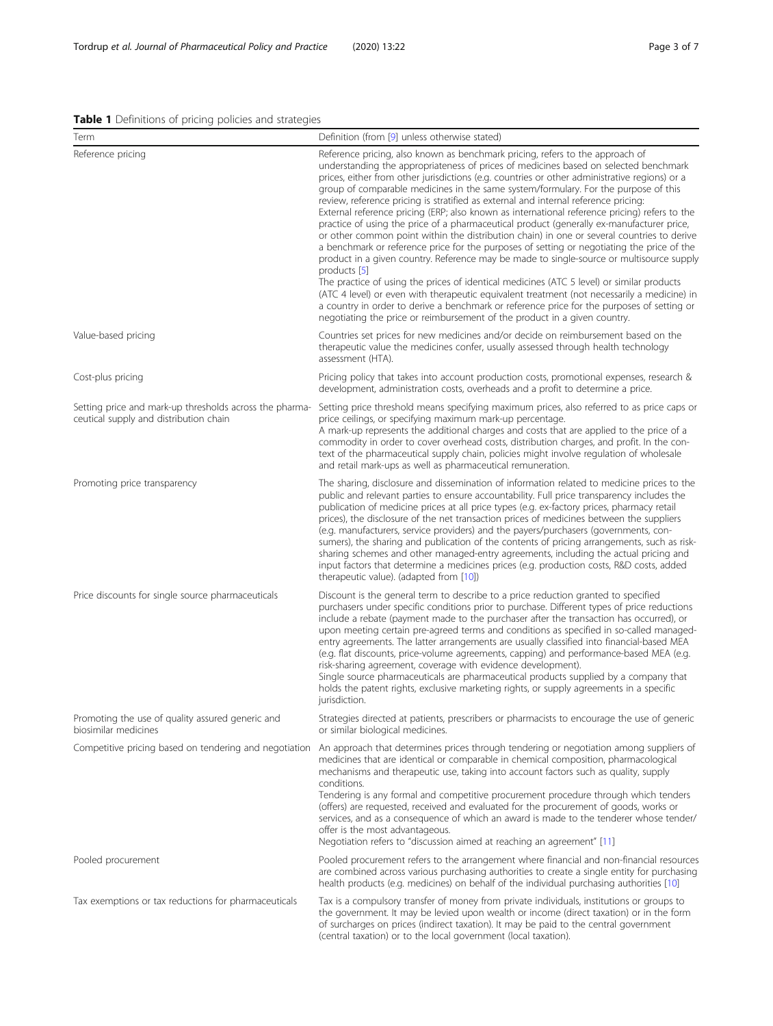<span id="page-2-0"></span>

| Term                                                                                              | Definition (from [9] unless otherwise stated)                                                                                                                                                                                                                                                                                                                                                                                                                                                                                                                                                                                                                                                                                                                                                                                                                                                                                                                                                                                                                                                                                                                                                                                                                                                                                     |
|---------------------------------------------------------------------------------------------------|-----------------------------------------------------------------------------------------------------------------------------------------------------------------------------------------------------------------------------------------------------------------------------------------------------------------------------------------------------------------------------------------------------------------------------------------------------------------------------------------------------------------------------------------------------------------------------------------------------------------------------------------------------------------------------------------------------------------------------------------------------------------------------------------------------------------------------------------------------------------------------------------------------------------------------------------------------------------------------------------------------------------------------------------------------------------------------------------------------------------------------------------------------------------------------------------------------------------------------------------------------------------------------------------------------------------------------------|
| Reference pricing                                                                                 | Reference pricing, also known as benchmark pricing, refers to the approach of<br>understanding the appropriateness of prices of medicines based on selected benchmark<br>prices, either from other jurisdictions (e.g. countries or other administrative regions) or a<br>group of comparable medicines in the same system/formulary. For the purpose of this<br>review, reference pricing is stratified as external and internal reference pricing:<br>External reference pricing (ERP; also known as international reference pricing) refers to the<br>practice of using the price of a pharmaceutical product (generally ex-manufacturer price,<br>or other common point within the distribution chain) in one or several countries to derive<br>a benchmark or reference price for the purposes of setting or negotiating the price of the<br>product in a given country. Reference may be made to single-source or multisource supply<br>products [5]<br>The practice of using the prices of identical medicines (ATC 5 level) or similar products<br>(ATC 4 level) or even with therapeutic equivalent treatment (not necessarily a medicine) in<br>a country in order to derive a benchmark or reference price for the purposes of setting or<br>negotiating the price or reimbursement of the product in a given country. |
| Value-based pricing                                                                               | Countries set prices for new medicines and/or decide on reimbursement based on the<br>therapeutic value the medicines confer, usually assessed through health technology<br>assessment (HTA).                                                                                                                                                                                                                                                                                                                                                                                                                                                                                                                                                                                                                                                                                                                                                                                                                                                                                                                                                                                                                                                                                                                                     |
| Cost-plus pricing                                                                                 | Pricing policy that takes into account production costs, promotional expenses, research &<br>development, administration costs, overheads and a profit to determine a price.                                                                                                                                                                                                                                                                                                                                                                                                                                                                                                                                                                                                                                                                                                                                                                                                                                                                                                                                                                                                                                                                                                                                                      |
| Setting price and mark-up thresholds across the pharma-<br>ceutical supply and distribution chain | Setting price threshold means specifying maximum prices, also referred to as price caps or<br>price ceilings, or specifying maximum mark-up percentage.<br>A mark-up represents the additional charges and costs that are applied to the price of a<br>commodity in order to cover overhead costs, distribution charges, and profit. In the con-<br>text of the pharmaceutical supply chain, policies might involve regulation of wholesale<br>and retail mark-ups as well as pharmaceutical remuneration.                                                                                                                                                                                                                                                                                                                                                                                                                                                                                                                                                                                                                                                                                                                                                                                                                        |
| Promoting price transparency                                                                      | The sharing, disclosure and dissemination of information related to medicine prices to the<br>public and relevant parties to ensure accountability. Full price transparency includes the<br>publication of medicine prices at all price types (e.g. ex-factory prices, pharmacy retail<br>prices), the disclosure of the net transaction prices of medicines between the suppliers<br>(e.g. manufacturers, service providers) and the payers/purchasers (governments, con-<br>sumers), the sharing and publication of the contents of pricing arrangements, such as risk-<br>sharing schemes and other managed-entry agreements, including the actual pricing and<br>input factors that determine a medicines prices (e.g. production costs, R&D costs, added<br>therapeutic value). (adapted from [10])                                                                                                                                                                                                                                                                                                                                                                                                                                                                                                                          |
| Price discounts for single source pharmaceuticals                                                 | Discount is the general term to describe to a price reduction granted to specified<br>purchasers under specific conditions prior to purchase. Different types of price reductions<br>include a rebate (payment made to the purchaser after the transaction has occurred), or<br>upon meeting certain pre-agreed terms and conditions as specified in so-called managed-<br>entry agreements. The latter arrangements are usually classified into financial-based MEA<br>(e.g. flat discounts, price-volume agreements, capping) and performance-based MEA (e.g.<br>risk-sharing agreement, coverage with evidence development).<br>Single source pharmaceuticals are pharmaceutical products supplied by a company that<br>holds the patent rights, exclusive marketing rights, or supply agreements in a specific<br>jurisdiction.                                                                                                                                                                                                                                                                                                                                                                                                                                                                                               |
| Promoting the use of quality assured generic and<br>biosimilar medicines                          | Strategies directed at patients, prescribers or pharmacists to encourage the use of generic<br>or similar biological medicines.                                                                                                                                                                                                                                                                                                                                                                                                                                                                                                                                                                                                                                                                                                                                                                                                                                                                                                                                                                                                                                                                                                                                                                                                   |
| Competitive pricing based on tendering and negotiation                                            | An approach that determines prices through tendering or negotiation among suppliers of<br>medicines that are identical or comparable in chemical composition, pharmacological<br>mechanisms and therapeutic use, taking into account factors such as quality, supply<br>conditions.<br>Tendering is any formal and competitive procurement procedure through which tenders<br>(offers) are requested, received and evaluated for the procurement of goods, works or<br>services, and as a consequence of which an award is made to the tenderer whose tender/<br>offer is the most advantageous.<br>Negotiation refers to "discussion aimed at reaching an agreement" [11]                                                                                                                                                                                                                                                                                                                                                                                                                                                                                                                                                                                                                                                        |
| Pooled procurement                                                                                | Pooled procurement refers to the arrangement where financial and non-financial resources<br>are combined across various purchasing authorities to create a single entity for purchasing<br>health products (e.g. medicines) on behalf of the individual purchasing authorities [10]                                                                                                                                                                                                                                                                                                                                                                                                                                                                                                                                                                                                                                                                                                                                                                                                                                                                                                                                                                                                                                               |
| Tax exemptions or tax reductions for pharmaceuticals                                              | Tax is a compulsory transfer of money from private individuals, institutions or groups to<br>the government. It may be levied upon wealth or income (direct taxation) or in the form<br>of surcharges on prices (indirect taxation). It may be paid to the central government<br>(central taxation) or to the local government (local taxation).                                                                                                                                                                                                                                                                                                                                                                                                                                                                                                                                                                                                                                                                                                                                                                                                                                                                                                                                                                                  |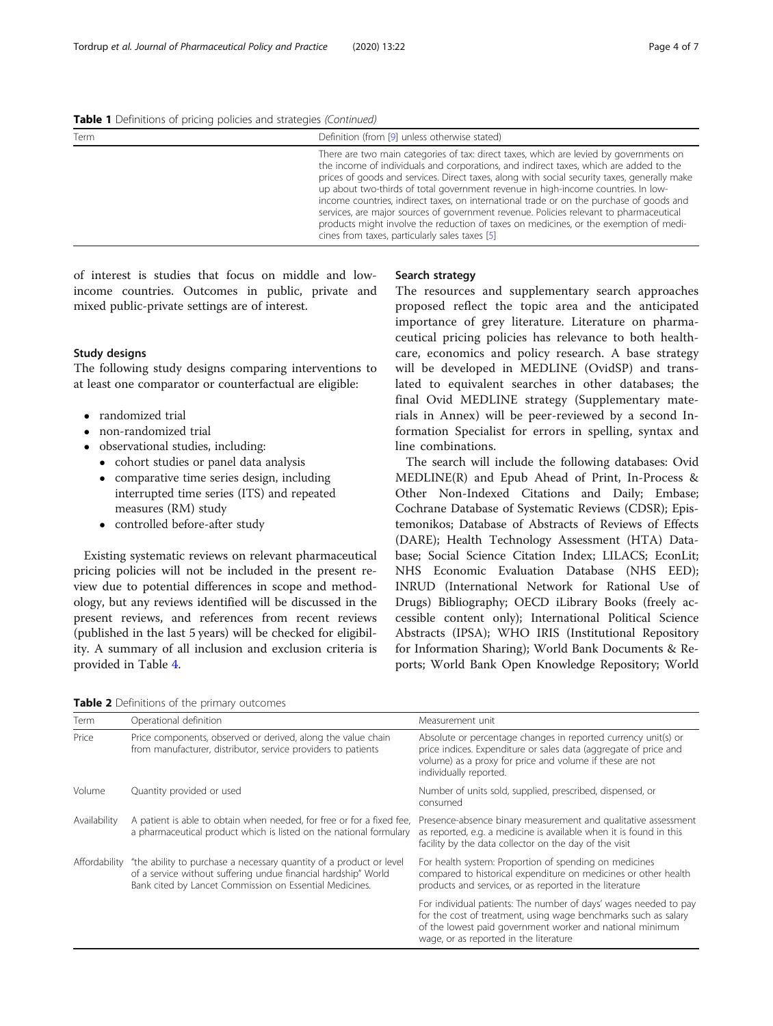<span id="page-3-0"></span>Table 1 Definitions of pricing policies and strategies (Continued)

| Term | Definition (from [9] unless otherwise stated)                                                                                                                                                                                                                                                                                                                                                                                                                                                                                                                                                                                                                                                          |  |
|------|--------------------------------------------------------------------------------------------------------------------------------------------------------------------------------------------------------------------------------------------------------------------------------------------------------------------------------------------------------------------------------------------------------------------------------------------------------------------------------------------------------------------------------------------------------------------------------------------------------------------------------------------------------------------------------------------------------|--|
|      | There are two main categories of tax: direct taxes, which are levied by governments on<br>the income of individuals and corporations, and indirect taxes, which are added to the<br>prices of goods and services. Direct taxes, along with social security taxes, generally make<br>up about two-thirds of total government revenue in high-income countries. In low-<br>income countries, indirect taxes, on international trade or on the purchase of goods and<br>services, are major sources of government revenue. Policies relevant to pharmaceutical<br>products might involve the reduction of taxes on medicines, or the exemption of medi-<br>cines from taxes, particularly sales taxes [5] |  |

of interest is studies that focus on middle and lowincome countries. Outcomes in public, private and mixed public-private settings are of interest.

# Study designs

The following study designs comparing interventions to at least one comparator or counterfactual are eligible:

- randomized trial
- non-randomized trial
- observational studies, including:
	- cohort studies or panel data analysis
	- comparative time series design, including interrupted time series (ITS) and repeated measures (RM) study
	- controlled before-after study

Existing systematic reviews on relevant pharmaceutical pricing policies will not be included in the present review due to potential differences in scope and methodology, but any reviews identified will be discussed in the present reviews, and references from recent reviews (published in the last 5 years) will be checked for eligibility. A summary of all inclusion and exclusion criteria is provided in Table [4](#page-4-0).

## Search strategy

The resources and supplementary search approaches proposed reflect the topic area and the anticipated importance of grey literature. Literature on pharmaceutical pricing policies has relevance to both healthcare, economics and policy research. A base strategy will be developed in MEDLINE (OvidSP) and translated to equivalent searches in other databases; the final Ovid MEDLINE strategy (Supplementary materials in Annex) will be peer-reviewed by a second Information Specialist for errors in spelling, syntax and line combinations.

The search will include the following databases: Ovid MEDLINE(R) and Epub Ahead of Print, In-Process & Other Non-Indexed Citations and Daily; Embase; Cochrane Database of Systematic Reviews (CDSR); Epistemonikos; Database of Abstracts of Reviews of Effects (DARE); Health Technology Assessment (HTA) Database; Social Science Citation Index; LILACS; EconLit; NHS Economic Evaluation Database (NHS EED); INRUD (International Network for Rational Use of Drugs) Bibliography; OECD iLibrary Books (freely accessible content only); International Political Science Abstracts (IPSA); WHO IRIS (Institutional Repository for Information Sharing); World Bank Documents & Reports; World Bank Open Knowledge Repository; World

Table 2 Definitions of the primary outcomes

| Term          | Operational definition                                                                                                                                                                           | Measurement unit                                                                                                                                                                                                                           |
|---------------|--------------------------------------------------------------------------------------------------------------------------------------------------------------------------------------------------|--------------------------------------------------------------------------------------------------------------------------------------------------------------------------------------------------------------------------------------------|
| Price         | Price components, observed or derived, along the value chain<br>from manufacturer, distributor, service providers to patients                                                                    | Absolute or percentage changes in reported currency unit(s) or<br>price indices. Expenditure or sales data (aggregate of price and<br>volume) as a proxy for price and volume if these are not<br>individually reported.                   |
| Volume        | Quantity provided or used                                                                                                                                                                        | Number of units sold, supplied, prescribed, dispensed, or<br>consumed                                                                                                                                                                      |
| Availability  | A patient is able to obtain when needed, for free or for a fixed fee,<br>a pharmaceutical product which is listed on the national formulary                                                      | Presence-absence binary measurement and qualitative assessment<br>as reported, e.g. a medicine is available when it is found in this<br>facility by the data collector on the day of the visit                                             |
| Affordability | "the ability to purchase a necessary quantity of a product or level<br>of a service without suffering undue financial hardship" World<br>Bank cited by Lancet Commission on Essential Medicines. | For health system: Proportion of spending on medicines<br>compared to historical expenditure on medicines or other health<br>products and services, or as reported in the literature                                                       |
|               |                                                                                                                                                                                                  | For individual patients: The number of days' wages needed to pay<br>for the cost of treatment, using wage benchmarks such as salary<br>of the lowest paid government worker and national minimum<br>wage, or as reported in the literature |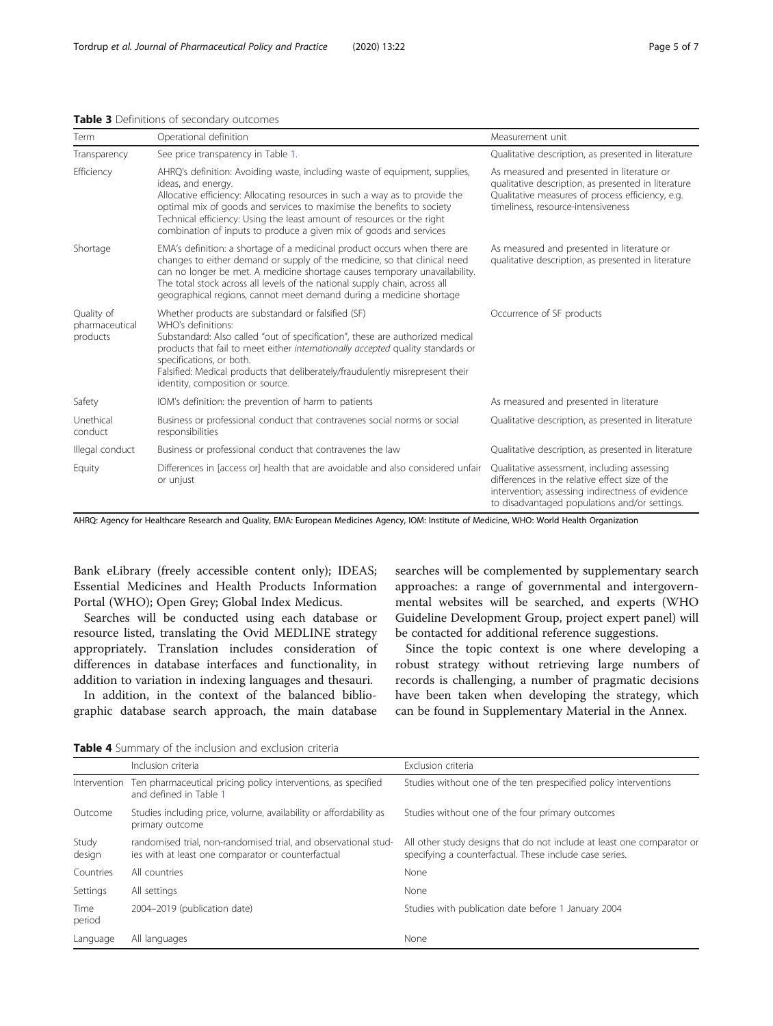| Term                                     | Operational definition                                                                                                                                                                                                                                                                                                                                                                                   | Measurement unit                                                                                                                                                                                   |
|------------------------------------------|----------------------------------------------------------------------------------------------------------------------------------------------------------------------------------------------------------------------------------------------------------------------------------------------------------------------------------------------------------------------------------------------------------|----------------------------------------------------------------------------------------------------------------------------------------------------------------------------------------------------|
| Transparency                             | See price transparency in Table 1.                                                                                                                                                                                                                                                                                                                                                                       | Qualitative description, as presented in literature                                                                                                                                                |
| Efficiency                               | AHRQ's definition: Avoiding waste, including waste of equipment, supplies,<br>ideas, and energy.<br>Allocative efficiency: Allocating resources in such a way as to provide the<br>optimal mix of goods and services to maximise the benefits to society<br>Technical efficiency: Using the least amount of resources or the right<br>combination of inputs to produce a given mix of goods and services | As measured and presented in literature or<br>qualitative description, as presented in literature<br>Qualitative measures of process efficiency, e.g.<br>timeliness, resource-intensiveness        |
| Shortage                                 | EMA's definition: a shortage of a medicinal product occurs when there are<br>changes to either demand or supply of the medicine, so that clinical need<br>can no longer be met. A medicine shortage causes temporary unavailability.<br>The total stock across all levels of the national supply chain, across all<br>geographical regions, cannot meet demand during a medicine shortage                | As measured and presented in literature or<br>qualitative description, as presented in literature                                                                                                  |
| Quality of<br>pharmaceutical<br>products | Whether products are substandard or falsified (SF)<br>WHO's definitions:<br>Substandard: Also called "out of specification", these are authorized medical<br>products that fail to meet either internationally accepted quality standards or<br>specifications, or both.<br>Falsified: Medical products that deliberately/fraudulently misrepresent their<br>identity, composition or source.            | Occurrence of SF products                                                                                                                                                                          |
| Safety                                   | IOM's definition: the prevention of harm to patients                                                                                                                                                                                                                                                                                                                                                     | As measured and presented in literature                                                                                                                                                            |
| Unethical<br>conduct                     | Business or professional conduct that contravenes social norms or social<br>responsibilities                                                                                                                                                                                                                                                                                                             | Qualitative description, as presented in literature                                                                                                                                                |
| Illegal conduct                          | Business or professional conduct that contravenes the law                                                                                                                                                                                                                                                                                                                                                | Qualitative description, as presented in literature                                                                                                                                                |
| Equity                                   | Differences in [access or] health that are avoidable and also considered unfair<br>or unjust                                                                                                                                                                                                                                                                                                             | Qualitative assessment, including assessing<br>differences in the relative effect size of the<br>intervention; assessing indirectness of evidence<br>to disadvantaged populations and/or settings. |

# <span id="page-4-0"></span>Table 3 Definitions of secondary outcomes

AHRQ: Agency for Healthcare Research and Quality, EMA: European Medicines Agency, IOM: Institute of Medicine, WHO: World Health Organization

Bank eLibrary (freely accessible content only); IDEAS; Essential Medicines and Health Products Information Portal (WHO); Open Grey; Global Index Medicus.

Searches will be conducted using each database or resource listed, translating the Ovid MEDLINE strategy appropriately. Translation includes consideration of differences in database interfaces and functionality, in addition to variation in indexing languages and thesauri.

In addition, in the context of the balanced bibliographic database search approach, the main database searches will be complemented by supplementary search approaches: a range of governmental and intergovernmental websites will be searched, and experts (WHO Guideline Development Group, project expert panel) will be contacted for additional reference suggestions.

Since the topic context is one where developing a robust strategy without retrieving large numbers of records is challenging, a number of pragmatic decisions have been taken when developing the strategy, which can be found in Supplementary Material in the Annex.

Table 4 Summary of the inclusion and exclusion criteria

|                 | Inclusion criteria                                                                                                    | Exclusion criteria                                                                                                                |
|-----------------|-----------------------------------------------------------------------------------------------------------------------|-----------------------------------------------------------------------------------------------------------------------------------|
| Intervention    | Ten pharmaceutical pricing policy interventions, as specified<br>and defined in Table 1                               | Studies without one of the ten prespecified policy interventions                                                                  |
| Outcome         | Studies including price, volume, availability or affordability as<br>primary outcome                                  | Studies without one of the four primary outcomes                                                                                  |
| Study<br>design | randomised trial, non-randomised trial, and observational stud-<br>ies with at least one comparator or counterfactual | All other study designs that do not include at least one comparator or<br>specifying a counterfactual. These include case series. |
| Countries       | All countries                                                                                                         | None                                                                                                                              |
| Settings        | All settings                                                                                                          | None                                                                                                                              |
| Time<br>period  | 2004-2019 (publication date)                                                                                          | Studies with publication date before 1 January 2004                                                                               |
| Language        | All languages                                                                                                         | None                                                                                                                              |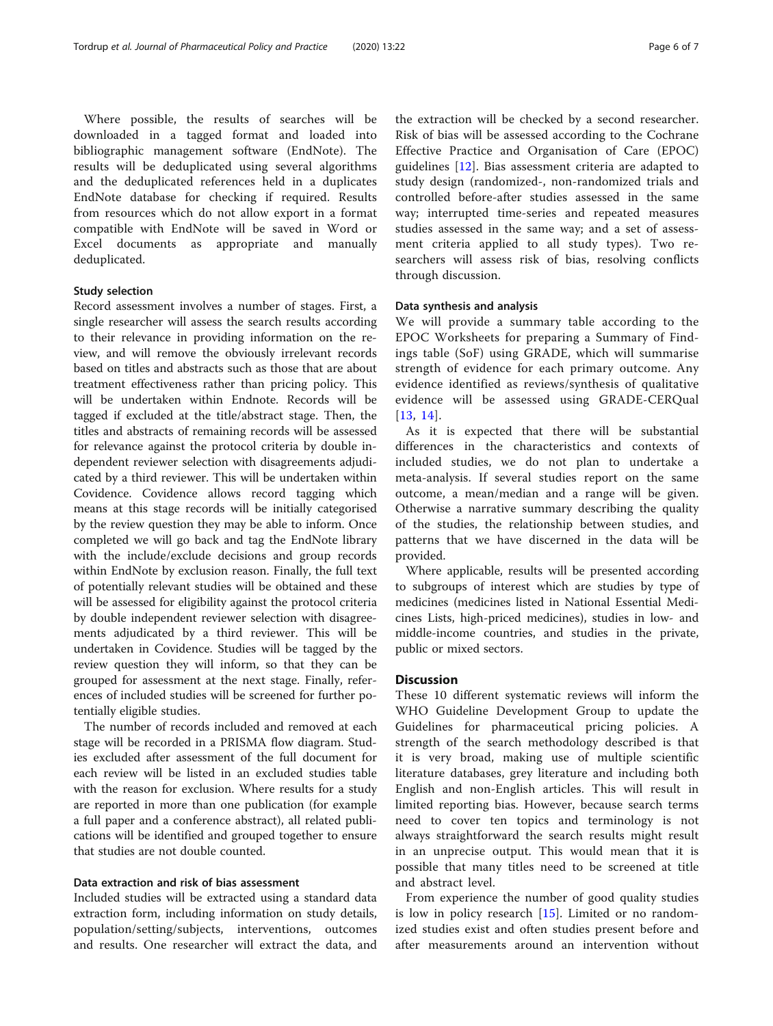Where possible, the results of searches will be downloaded in a tagged format and loaded into bibliographic management software (EndNote). The results will be deduplicated using several algorithms and the deduplicated references held in a duplicates EndNote database for checking if required. Results from resources which do not allow export in a format compatible with EndNote will be saved in Word or Excel documents as appropriate and manually deduplicated.

## Study selection

Record assessment involves a number of stages. First, a single researcher will assess the search results according to their relevance in providing information on the review, and will remove the obviously irrelevant records based on titles and abstracts such as those that are about treatment effectiveness rather than pricing policy. This will be undertaken within Endnote. Records will be tagged if excluded at the title/abstract stage. Then, the titles and abstracts of remaining records will be assessed for relevance against the protocol criteria by double independent reviewer selection with disagreements adjudicated by a third reviewer. This will be undertaken within Covidence. Covidence allows record tagging which means at this stage records will be initially categorised by the review question they may be able to inform. Once completed we will go back and tag the EndNote library with the include/exclude decisions and group records within EndNote by exclusion reason. Finally, the full text of potentially relevant studies will be obtained and these will be assessed for eligibility against the protocol criteria by double independent reviewer selection with disagreements adjudicated by a third reviewer. This will be undertaken in Covidence. Studies will be tagged by the review question they will inform, so that they can be grouped for assessment at the next stage. Finally, references of included studies will be screened for further potentially eligible studies.

The number of records included and removed at each stage will be recorded in a PRISMA flow diagram. Studies excluded after assessment of the full document for each review will be listed in an excluded studies table with the reason for exclusion. Where results for a study are reported in more than one publication (for example a full paper and a conference abstract), all related publications will be identified and grouped together to ensure that studies are not double counted.

# Data extraction and risk of bias assessment

Included studies will be extracted using a standard data extraction form, including information on study details, population/setting/subjects, interventions, outcomes and results. One researcher will extract the data, and the extraction will be checked by a second researcher. Risk of bias will be assessed according to the Cochrane Effective Practice and Organisation of Care (EPOC) guidelines [[12\]](#page-6-0). Bias assessment criteria are adapted to study design (randomized-, non-randomized trials and controlled before-after studies assessed in the same way; interrupted time-series and repeated measures studies assessed in the same way; and a set of assessment criteria applied to all study types). Two researchers will assess risk of bias, resolving conflicts through discussion.

#### Data synthesis and analysis

We will provide a summary table according to the EPOC Worksheets for preparing a Summary of Findings table (SoF) using GRADE, which will summarise strength of evidence for each primary outcome. Any evidence identified as reviews/synthesis of qualitative evidence will be assessed using GRADE-CERQual [[13](#page-6-0), [14\]](#page-6-0).

As it is expected that there will be substantial differences in the characteristics and contexts of included studies, we do not plan to undertake a meta-analysis. If several studies report on the same outcome, a mean/median and a range will be given. Otherwise a narrative summary describing the quality of the studies, the relationship between studies, and patterns that we have discerned in the data will be provided.

Where applicable, results will be presented according to subgroups of interest which are studies by type of medicines (medicines listed in National Essential Medicines Lists, high-priced medicines), studies in low- and middle-income countries, and studies in the private, public or mixed sectors.

## **Discussion**

These 10 different systematic reviews will inform the WHO Guideline Development Group to update the Guidelines for pharmaceutical pricing policies. A strength of the search methodology described is that it is very broad, making use of multiple scientific literature databases, grey literature and including both English and non-English articles. This will result in limited reporting bias. However, because search terms need to cover ten topics and terminology is not always straightforward the search results might result in an unprecise output. This would mean that it is possible that many titles need to be screened at title and abstract level.

From experience the number of good quality studies is low in policy research [\[15](#page-6-0)]. Limited or no randomized studies exist and often studies present before and after measurements around an intervention without